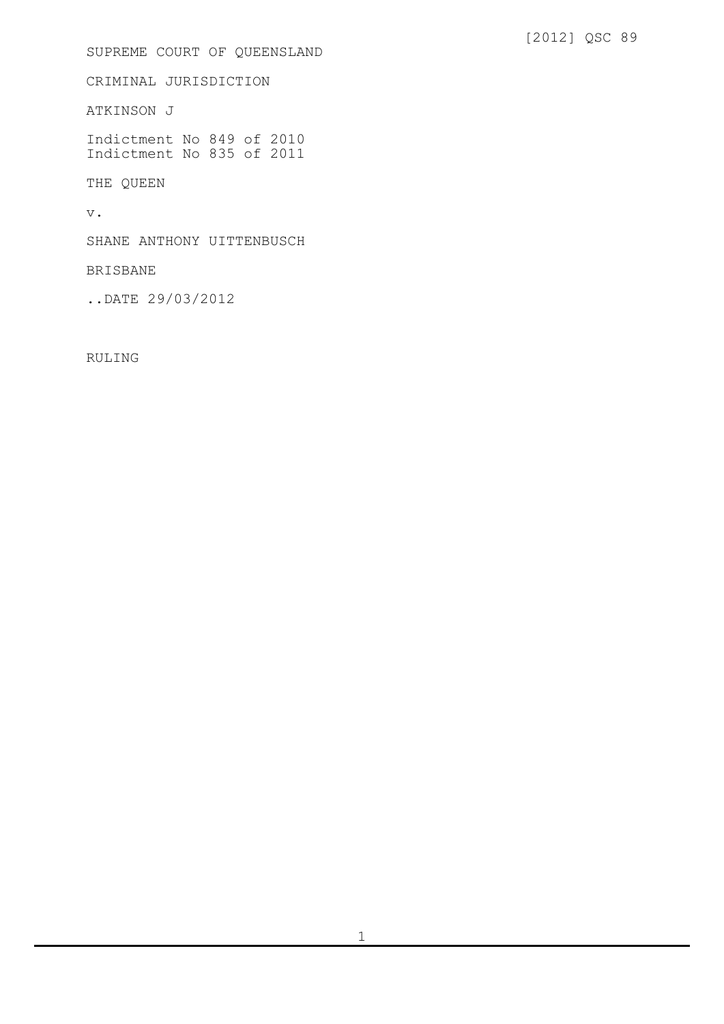SUPREME COURT OF QUEENSLAND

CRIMINAL JURISDICTION

ATKINSON J

Indictment No 849 of 2010 Indictment No 835 of 2011

THE QUEEN

v.

SHANE ANTHONY UITTENBUSCH

## BRISBANE

..DATE 29/03/2012

RULING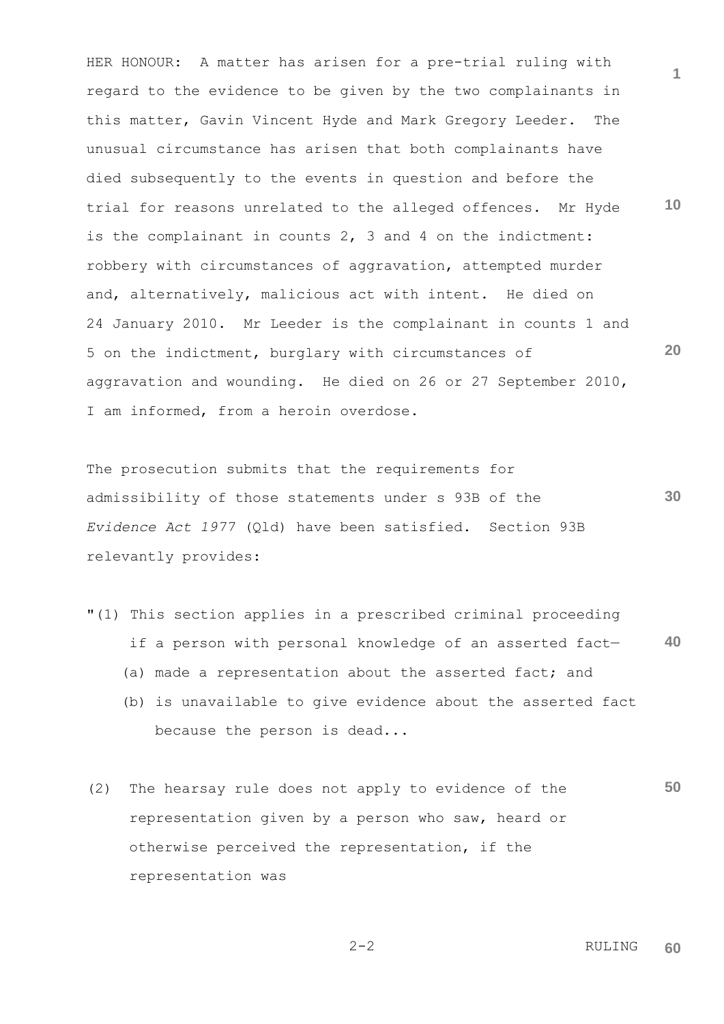**1 10 20** HER HONOUR: A matter has arisen for a pre-trial ruling with regard to the evidence to be given by the two complainants in this matter, Gavin Vincent Hyde and Mark Gregory Leeder. The unusual circumstance has arisen that both complainants have died subsequently to the events in question and before the trial for reasons unrelated to the alleged offences. Mr Hyde is the complainant in counts 2, 3 and 4 on the indictment: robbery with circumstances of aggravation, attempted murder and, alternatively, malicious act with intent. He died on 24 January 2010. Mr Leeder is the complainant in counts 1 and 5 on the indictment, burglary with circumstances of aggravation and wounding. He died on 26 or 27 September 2010, I am informed, from a heroin overdose.

**30** The prosecution submits that the requirements for admissibility of those statements under s 93B of the *Evidence Act 1977* (Qld) have been satisfied. Section 93B relevantly provides:

- **40** "(1) This section applies in a prescribed criminal proceeding if a person with personal knowledge of an asserted fact— (a) made a representation about the asserted fact; and (b) is unavailable to give evidence about the asserted fact
- **50** (2) The hearsay rule does not apply to evidence of the representation given by a person who saw, heard or

otherwise perceived the representation, if the representation was

because the person is dead...

$$
2-2
$$
 RULING 60

$$
2 - 2
$$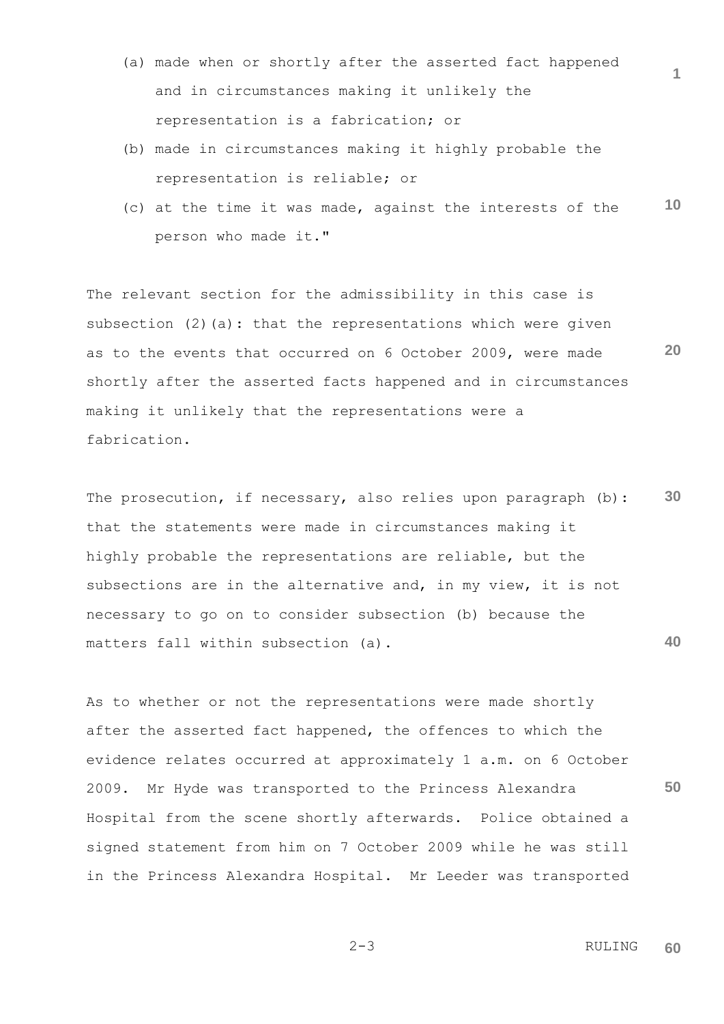- (a) made when or shortly after the asserted fact happened and in circumstances making it unlikely the representation is a fabrication; or
- (b) made in circumstances making it highly probable the representation is reliable; or
- **10** (c) at the time it was made, against the interests of the person who made it."

The relevant section for the admissibility in this case is subsection  $(2)$  (a): that the representations which were given as to the events that occurred on 6 October 2009, were made shortly after the asserted facts happened and in circumstances making it unlikely that the representations were a fabrication.

**30 40** The prosecution, if necessary, also relies upon paragraph (b): that the statements were made in circumstances making it highly probable the representations are reliable, but the subsections are in the alternative and, in my view, it is not necessary to go on to consider subsection (b) because the matters fall within subsection (a).

**50** As to whether or not the representations were made shortly after the asserted fact happened, the offences to which the evidence relates occurred at approximately 1 a.m. on 6 October 2009. Mr Hyde was transported to the Princess Alexandra Hospital from the scene shortly afterwards. Police obtained a signed statement from him on 7 October 2009 while he was still in the Princess Alexandra Hospital. Mr Leeder was transported

> 2-3 RULING **60**

**1**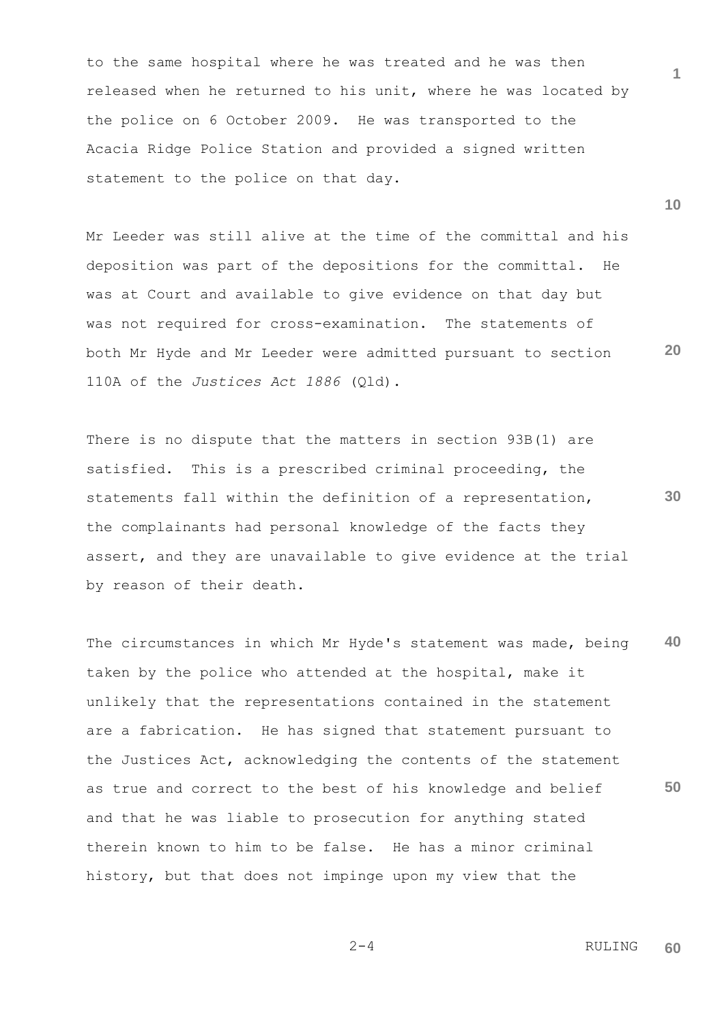to the same hospital where he was treated and he was then released when he returned to his unit, where he was located by the police on 6 October 2009. He was transported to the Acacia Ridge Police Station and provided a signed written statement to the police on that day.

**20** Mr Leeder was still alive at the time of the committal and his deposition was part of the depositions for the committal. He was at Court and available to give evidence on that day but was not required for cross-examination. The statements of both Mr Hyde and Mr Leeder were admitted pursuant to section 110A of the *Justices Act 1886* (Qld).

There is no dispute that the matters in section 93B(1) are satisfied. This is a prescribed criminal proceeding, the statements fall within the definition of a representation, the complainants had personal knowledge of the facts they assert, and they are unavailable to give evidence at the trial by reason of their death.

**40 50** The circumstances in which Mr Hyde's statement was made, being taken by the police who attended at the hospital, make it unlikely that the representations contained in the statement are a fabrication. He has signed that statement pursuant to the Justices Act, acknowledging the contents of the statement as true and correct to the best of his knowledge and belief and that he was liable to prosecution for anything stated therein known to him to be false. He has a minor criminal history, but that does not impinge upon my view that the

> RULING **60**

$$
2-4
$$

$$
\mathcal{L}_{\mathcal{A}}(x)
$$

**10**

**1**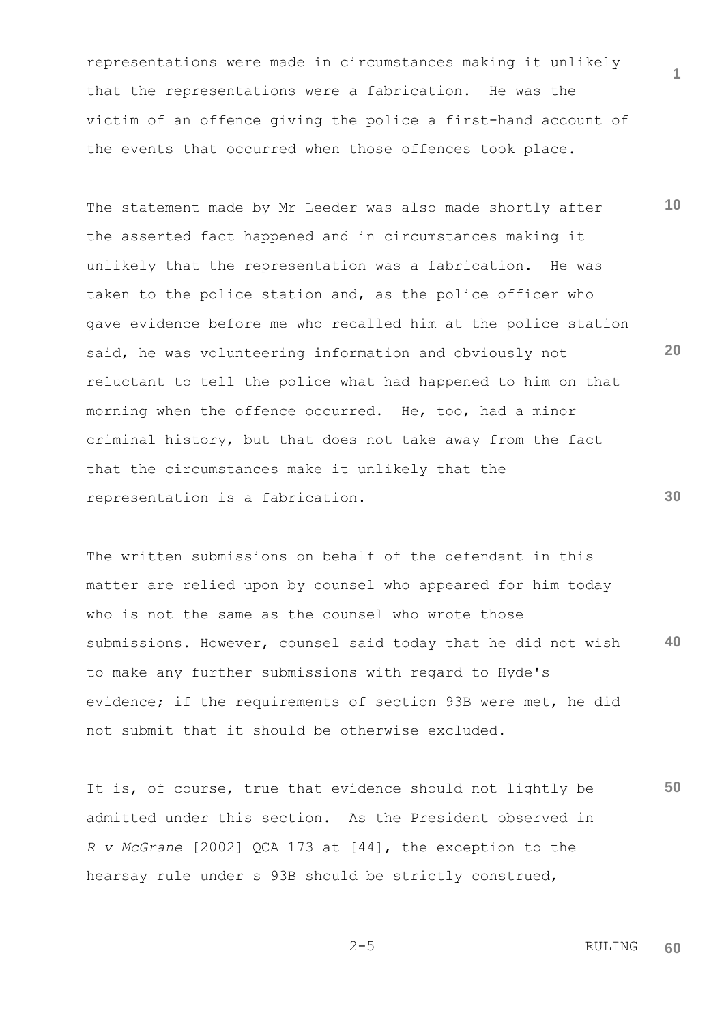representations were made in circumstances making it unlikely that the representations were a fabrication. He was the victim of an offence giving the police a first-hand account of the events that occurred when those offences took place.

**10 20 30** The statement made by Mr Leeder was also made shortly after the asserted fact happened and in circumstances making it unlikely that the representation was a fabrication. He was taken to the police station and, as the police officer who gave evidence before me who recalled him at the police station said, he was volunteering information and obviously not reluctant to tell the police what had happened to him on that morning when the offence occurred. He, too, had a minor criminal history, but that does not take away from the fact that the circumstances make it unlikely that the representation is a fabrication.

**40** The written submissions on behalf of the defendant in this matter are relied upon by counsel who appeared for him today who is not the same as the counsel who wrote those submissions. However, counsel said today that he did not wish to make any further submissions with regard to Hyde's evidence; if the requirements of section 93B were met, he did not submit that it should be otherwise excluded.

**50** It is, of course, true that evidence should not lightly be admitted under this section. As the President observed in *R v McGrane* [2002] QCA 173 at [44], the exception to the hearsay rule under s 93B should be strictly construed,

$$
2-5
$$
 RULING 60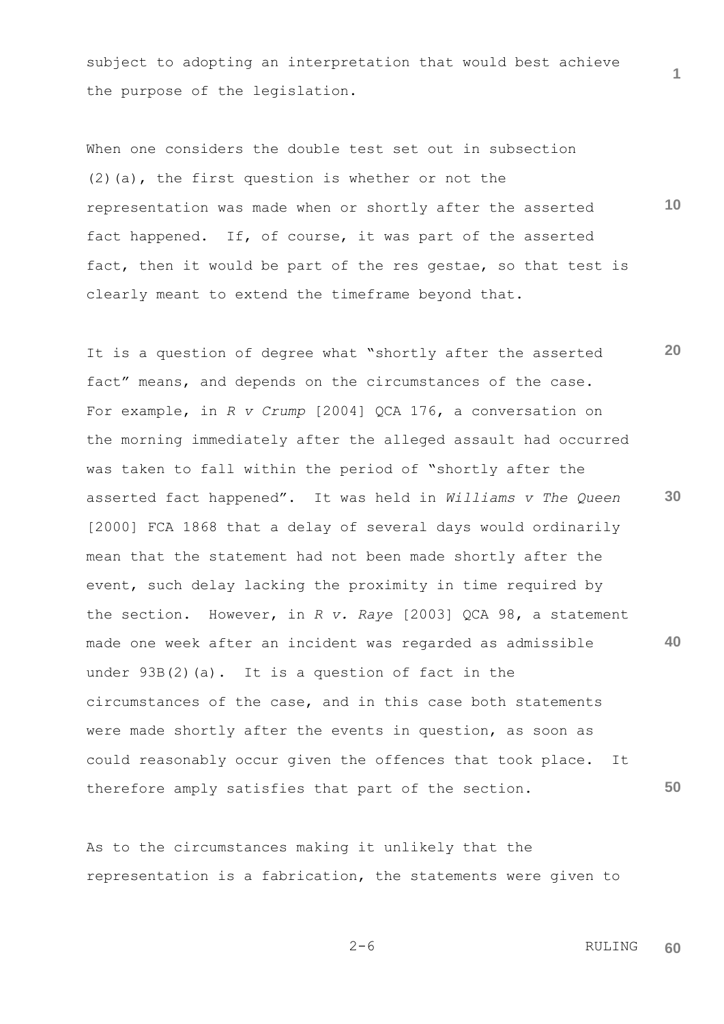subject to adopting an interpretation that would best achieve the purpose of the legislation.

**10** When one considers the double test set out in subsection  $(2)$  (a), the first question is whether or not the representation was made when or shortly after the asserted fact happened. If, of course, it was part of the asserted fact, then it would be part of the res gestae, so that test is clearly meant to extend the timeframe beyond that.

**20 30 40 50** It is a question of degree what "shortly after the asserted fact" means, and depends on the circumstances of the case. For example, in *R v Crump* [2004] QCA 176, a conversation on the morning immediately after the alleged assault had occurred was taken to fall within the period of "shortly after the asserted fact happened". It was held in *Williams v The Queen* [2000] FCA 1868 that a delay of several days would ordinarily mean that the statement had not been made shortly after the event, such delay lacking the proximity in time required by the section. However, in *R v. Raye* [2003] QCA 98, a statement made one week after an incident was regarded as admissible under 93B(2)(a). It is a question of fact in the circumstances of the case, and in this case both statements were made shortly after the events in question, as soon as could reasonably occur given the offences that took place. It therefore amply satisfies that part of the section.

As to the circumstances making it unlikely that the representation is a fabrication, the statements were given to

$$
2-6 \t\nRUING 60
$$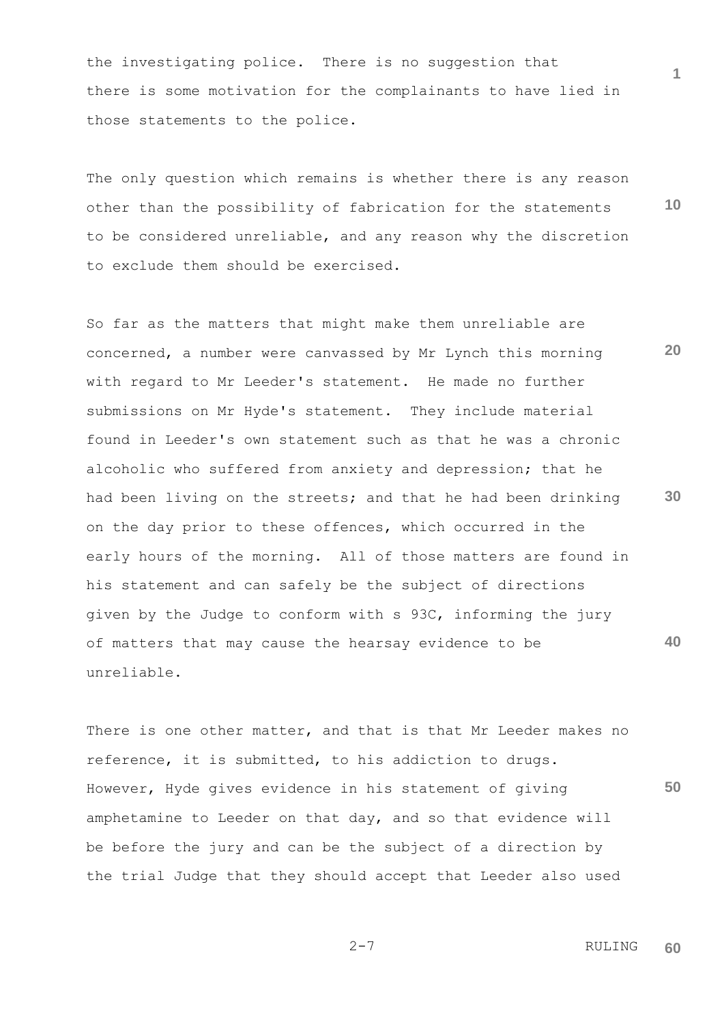the investigating police. There is no suggestion that there is some motivation for the complainants to have lied in those statements to the police.

**10** The only question which remains is whether there is any reason other than the possibility of fabrication for the statements to be considered unreliable, and any reason why the discretion to exclude them should be exercised.

**20 30 40** So far as the matters that might make them unreliable are concerned, a number were canvassed by Mr Lynch this morning with regard to Mr Leeder's statement. He made no further submissions on Mr Hyde's statement. They include material found in Leeder's own statement such as that he was a chronic alcoholic who suffered from anxiety and depression; that he had been living on the streets; and that he had been drinking on the day prior to these offences, which occurred in the early hours of the morning. All of those matters are found in his statement and can safely be the subject of directions given by the Judge to conform with s 93C, informing the jury of matters that may cause the hearsay evidence to be unreliable.

**50** There is one other matter, and that is that Mr Leeder makes no reference, it is submitted, to his addiction to drugs. However, Hyde gives evidence in his statement of giving amphetamine to Leeder on that day, and so that evidence will be before the jury and can be the subject of a direction by the trial Judge that they should accept that Leeder also used

> 2-7 RULING **60**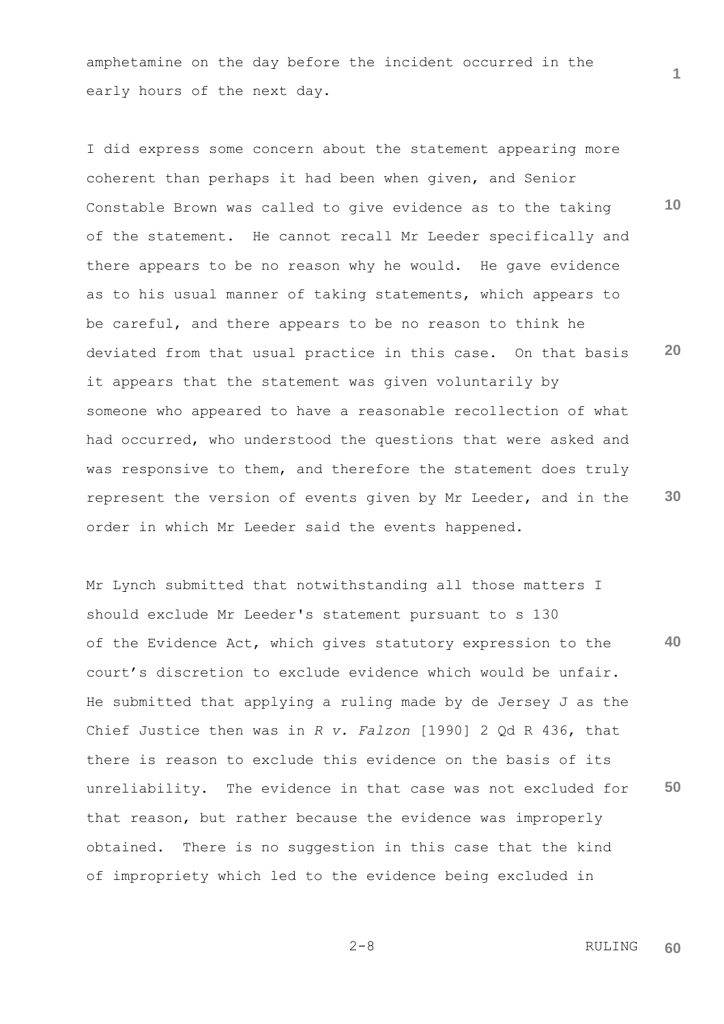amphetamine on the day before the incident occurred in the early hours of the next day.

**10 20 30** I did express some concern about the statement appearing more coherent than perhaps it had been when given, and Senior Constable Brown was called to give evidence as to the taking of the statement. He cannot recall Mr Leeder specifically and there appears to be no reason why he would. He gave evidence as to his usual manner of taking statements, which appears to be careful, and there appears to be no reason to think he deviated from that usual practice in this case. On that basis it appears that the statement was given voluntarily by someone who appeared to have a reasonable recollection of what had occurred, who understood the questions that were asked and was responsive to them, and therefore the statement does truly represent the version of events given by Mr Leeder, and in the order in which Mr Leeder said the events happened.

**40 50** Mr Lynch submitted that notwithstanding all those matters I should exclude Mr Leeder's statement pursuant to s 130 of the Evidence Act, which gives statutory expression to the court's discretion to exclude evidence which would be unfair. He submitted that applying a ruling made by de Jersey J as the Chief Justice then was in *R v. Falzon* [1990] 2 Qd R 436, that there is reason to exclude this evidence on the basis of its unreliability. The evidence in that case was not excluded for that reason, but rather because the evidence was improperly obtained. There is no suggestion in this case that the kind of impropriety which led to the evidence being excluded in

> RULING **60**

$$
2 - 8
$$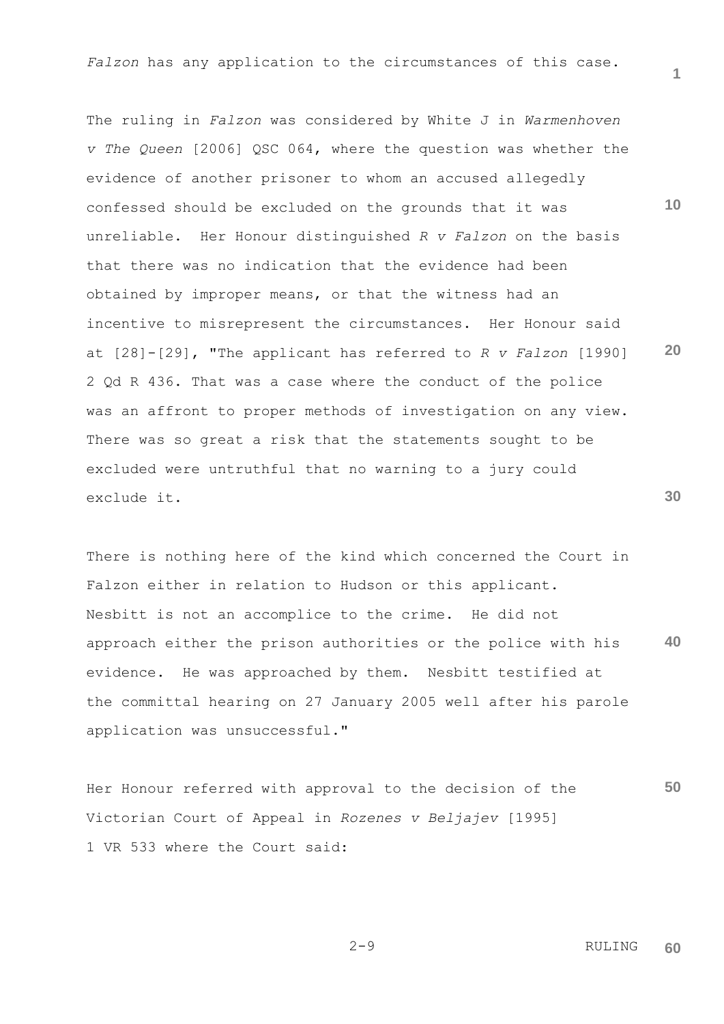*Falzon* has any application to the circumstances of this case.

**10 20 30** The ruling in *Falzon* was considered by White J in *Warmenhoven v The Queen* [2006] QSC 064, where the question was whether the evidence of another prisoner to whom an accused allegedly confessed should be excluded on the grounds that it was unreliable. Her Honour distinguished *R v Falzon* on the basis that there was no indication that the evidence had been obtained by improper means, or that the witness had an incentive to misrepresent the circumstances. Her Honour said at [28]-[29], "The applicant has referred to *R v Falzon* [1990] 2 Qd R 436. That was a case where the conduct of the police was an affront to proper methods of investigation on any view. There was so great a risk that the statements sought to be excluded were untruthful that no warning to a jury could exclude it.

**40** There is nothing here of the kind which concerned the Court in Falzon either in relation to Hudson or this applicant. Nesbitt is not an accomplice to the crime. He did not approach either the prison authorities or the police with his evidence. He was approached by them. Nesbitt testified at the committal hearing on 27 January 2005 well after his parole application was unsuccessful."

**50** Her Honour referred with approval to the decision of the Victorian Court of Appeal in *Rozenes v Beljajev* [1995] 1 VR 533 where the Court said:

RULING

**60**

$$
2-9
$$